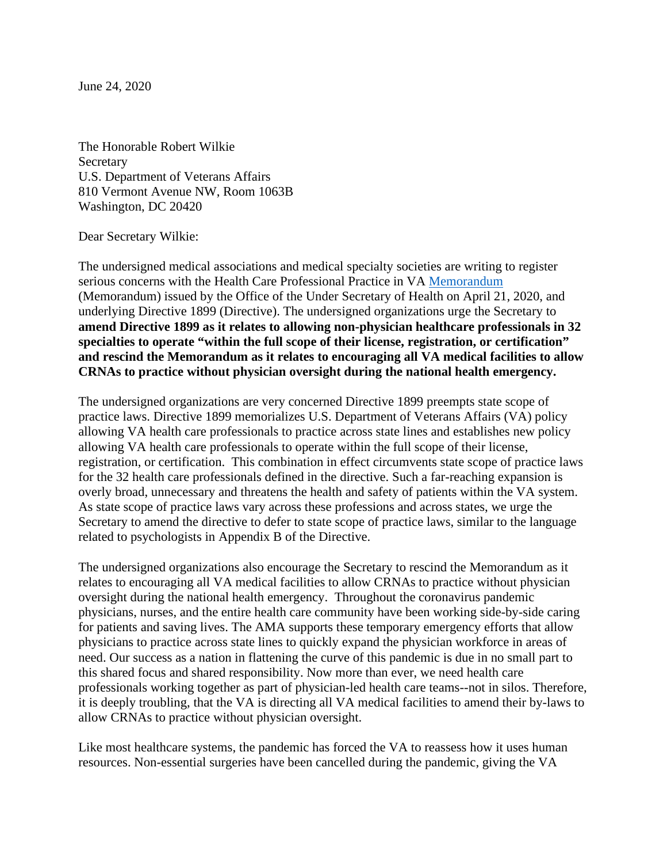June 24, 2020

The Honorable Robert Wilkie **Secretary** U.S. Department of Veterans Affairs 810 Vermont Avenue NW, Room 1063B Washington, DC 20420

Dear Secretary Wilkie:

The undersigned medical associations and medical specialty societies are writing to register serious concerns with the Health Care Professional Practice in VA [Memorandum](https://www.va.gov/vhapublications/ViewPublication.asp?pub_ID=8794) (Memorandum) issued by the Office of the Under Secretary of Health on April 21, 2020, and underlying Directive 1899 (Directive). The undersigned organizations urge the Secretary to **amend Directive 1899 as it relates to allowing non-physician healthcare professionals in 32 specialties to operate "within the full scope of their license, registration, or certification" and rescind the Memorandum as it relates to encouraging all VA medical facilities to allow CRNAs to practice without physician oversight during the national health emergency.**

The undersigned organizations are very concerned Directive 1899 preempts state scope of practice laws. Directive 1899 memorializes U.S. Department of Veterans Affairs (VA) policy allowing VA health care professionals to practice across state lines and establishes new policy allowing VA health care professionals to operate within the full scope of their license, registration, or certification. This combination in effect circumvents state scope of practice laws for the 32 health care professionals defined in the directive. Such a far-reaching expansion is overly broad, unnecessary and threatens the health and safety of patients within the VA system. As state scope of practice laws vary across these professions and across states, we urge the Secretary to amend the directive to defer to state scope of practice laws, similar to the language related to psychologists in Appendix B of the Directive.

The undersigned organizations also encourage the Secretary to rescind the Memorandum as it relates to encouraging all VA medical facilities to allow CRNAs to practice without physician oversight during the national health emergency. Throughout the coronavirus pandemic physicians, nurses, and the entire health care community have been working side-by-side caring for patients and saving lives. The AMA supports these temporary emergency efforts that allow physicians to practice across state lines to quickly expand the physician workforce in areas of need. Our success as a nation in flattening the curve of this pandemic is due in no small part to this shared focus and shared responsibility. Now more than ever, we need health care professionals working together as part of physician-led health care teams--not in silos. Therefore, it is deeply troubling, that the VA is directing all VA medical facilities to amend their by-laws to allow CRNAs to practice without physician oversight.

Like most healthcare systems, the pandemic has forced the VA to reassess how it uses human resources. Non-essential surgeries have been cancelled during the pandemic, giving the VA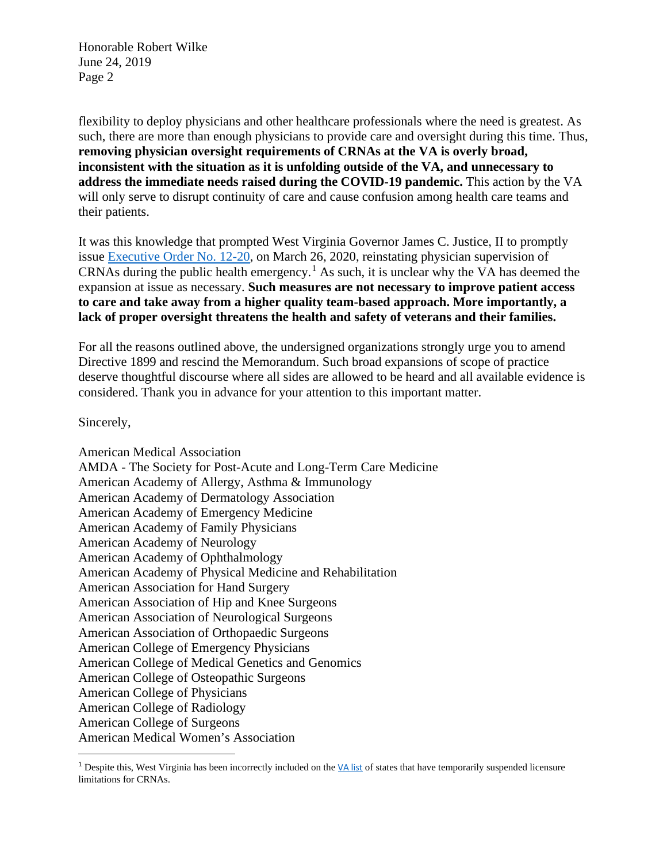Honorable Robert Wilke June 24, 2019 Page 2

flexibility to deploy physicians and other healthcare professionals where the need is greatest. As such, there are more than enough physicians to provide care and oversight during this time. Thus, **removing physician oversight requirements of CRNAs at the VA is overly broad, inconsistent with the situation as it is unfolding outside of the VA, and unnecessary to address the immediate needs raised during the COVID-19 pandemic.** This action by the VA will only serve to disrupt continuity of care and cause confusion among health care teams and their patients.

It was this knowledge that prompted West Virginia Governor James C. Justice, II to promptly issue [Executive Order No. 12-20,](https://apps.sos.wv.gov/adlaw/executivejournal/readpdf.aspx?DocID=89607) on March 26, 2020, reinstating physician supervision of CRNAs during the public health emergency.<sup>[1](#page-1-0)</sup> As such, it is unclear why the VA has deemed the expansion at issue as necessary. **Such measures are not necessary to improve patient access to care and take away from a higher quality team-based approach. More importantly, a lack of proper oversight threatens the health and safety of veterans and their families.**

For all the reasons outlined above, the undersigned organizations strongly urge you to amend Directive 1899 and rescind the Memorandum. Such broad expansions of scope of practice deserve thoughtful discourse where all sides are allowed to be heard and all available evidence is considered. Thank you in advance for your attention to this important matter.

Sincerely,

American Medical Association AMDA - The Society for Post-Acute and Long-Term Care Medicine American Academy of Allergy, Asthma & Immunology American Academy of Dermatology Association American Academy of Emergency Medicine American Academy of Family Physicians American Academy of Neurology American Academy of Ophthalmology American Academy of Physical Medicine and Rehabilitation American Association for Hand Surgery American Association of Hip and Knee Surgeons American Association of Neurological Surgeons American Association of Orthopaedic Surgeons American College of Emergency Physicians American College of Medical Genetics and Genomics American College of Osteopathic Surgeons American College of Physicians American College of Radiology American College of Surgeons American Medical Women's Association

<span id="page-1-0"></span><sup>&</sup>lt;sup>1</sup> Despite this, West Virginia has been incorrectly included on the  $VA$  list of states that have temporarily suspended licensure limitations for CRNAs.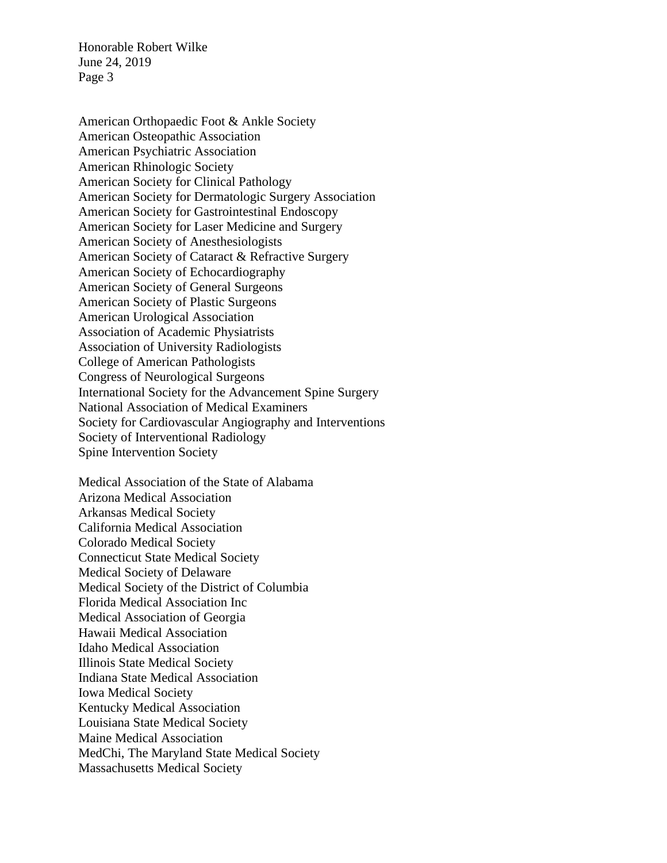Honorable Robert Wilke June 24, 2019 Page 3

American Orthopaedic Foot & Ankle Society American Osteopathic Association American Psychiatric Association American Rhinologic Society American Society for Clinical Pathology American Society for Dermatologic Surgery Association American Society for Gastrointestinal Endoscopy American Society for Laser Medicine and Surgery American Society of Anesthesiologists American Society of Cataract & Refractive Surgery American Society of Echocardiography American Society of General Surgeons American Society of Plastic Surgeons American Urological Association Association of Academic Physiatrists Association of University Radiologists College of American Pathologists Congress of Neurological Surgeons International Society for the Advancement Spine Surgery National Association of Medical Examiners Society for Cardiovascular Angiography and Interventions Society of Interventional Radiology Spine Intervention Society

Medical Association of the State of Alabama Arizona Medical Association Arkansas Medical Society California Medical Association Colorado Medical Society Connecticut State Medical Society Medical Society of Delaware Medical Society of the District of Columbia Florida Medical Association Inc Medical Association of Georgia Hawaii Medical Association Idaho Medical Association Illinois State Medical Society Indiana State Medical Association Iowa Medical Society Kentucky Medical Association Louisiana State Medical Society Maine Medical Association MedChi, The Maryland State Medical Society Massachusetts Medical Society